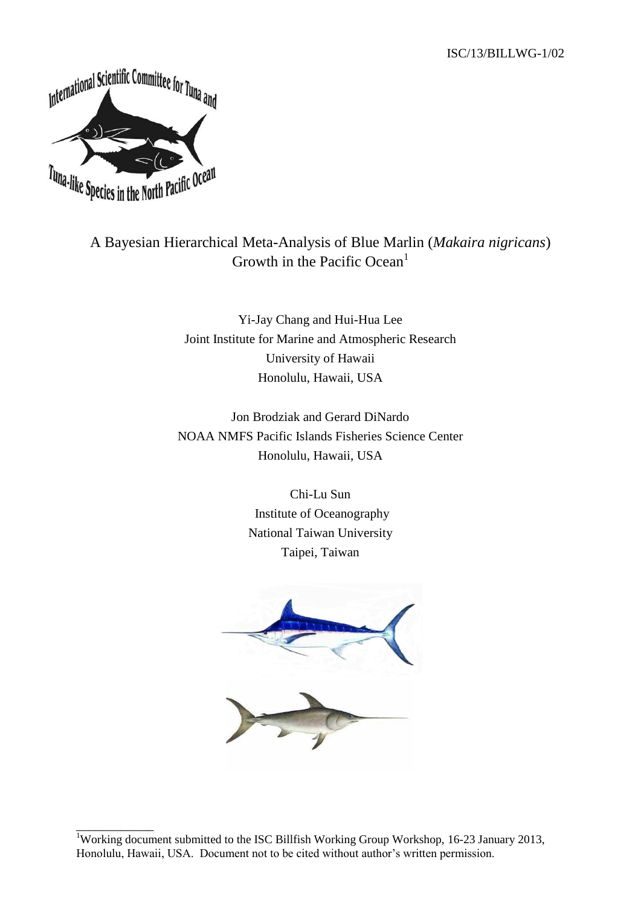

\_\_\_\_\_\_\_\_\_\_\_\_

# A Bayesian Hierarchical Meta-Analysis of Blue Marlin (*Makaira nigricans*) Growth in the Pacific Ocean<sup>1</sup>

Yi-Jay Chang and Hui-Hua Lee Joint Institute for Marine and Atmospheric Research University of Hawaii Honolulu, Hawaii, USA

Jon Brodziak and Gerard DiNardo NOAA NMFS Pacific Islands Fisheries Science Center Honolulu, Hawaii, USA

> Chi-Lu Sun Institute of Oceanography National Taiwan University Taipei, Taiwan



<sup>&</sup>lt;sup>1</sup>Working document submitted to the ISC Billfish Working Group Workshop, 16-23 January 2013, Honolulu, Hawaii, USA. Document not to be cited without author's written permission.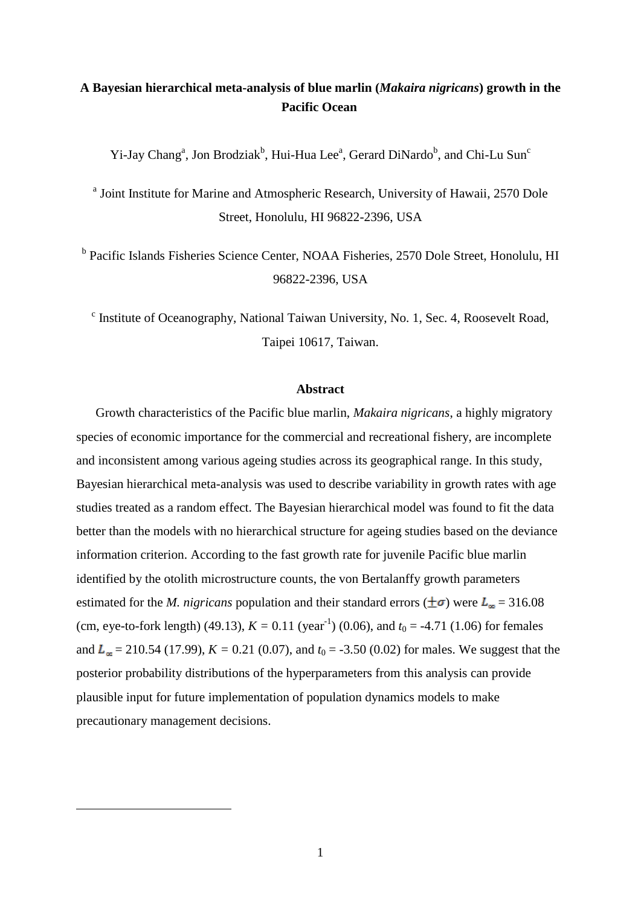# **A Bayesian hierarchical meta-analysis of blue marlin (***Makaira nigricans***) growth in the Pacific Ocean**

Yi-Jay Chang<sup>a</sup>, Jon Brodziak<sup>b</sup>, Hui-Hua Lee<sup>a</sup>, Gerard DiNardo<sup>b</sup>, and Chi-Lu Sun<sup>c</sup>

<sup>a</sup> Joint Institute for Marine and Atmospheric Research, University of Hawaii, 2570 Dole Street, Honolulu, HI 96822-2396, USA

<sup>b</sup> Pacific Islands Fisheries Science Center, NOAA Fisheries, 2570 Dole Street, Honolulu, HI 96822-2396, USA

<sup>c</sup> Institute of Oceanography, National Taiwan University, No. 1, Sec. 4, Roosevelt Road, Taipei 10617, Taiwan.

#### **Abstract**

Growth characteristics of the Pacific blue marlin, *Makaira nigricans*, a highly migratory species of economic importance for the commercial and recreational fishery, are incomplete and inconsistent among various ageing studies across its geographical range. In this study, Bayesian hierarchical meta-analysis was used to describe variability in growth rates with age studies treated as a random effect. The Bayesian hierarchical model was found to fit the data better than the models with no hierarchical structure for ageing studies based on the deviance information criterion. According to the fast growth rate for juvenile Pacific blue marlin identified by the otolith microstructure counts, the von Bertalanffy growth parameters estimated for the *M. nigricans* population and their standard errors ( $\pm \sigma$ ) were  $L_{\infty} = 316.08$ (cm, eye-to-fork length) (49.13),  $K = 0.11$  (year<sup>-1</sup>) (0.06), and  $t_0 = -4.71$  (1.06) for females and  $L_{\infty}$  = 210.54 (17.99),  $K = 0.21$  (0.07), and  $t_0 = -3.50$  (0.02) for males. We suggest that the posterior probability distributions of the hyperparameters from this analysis can provide plausible input for future implementation of population dynamics models to make precautionary management decisions.

 $\overline{a}$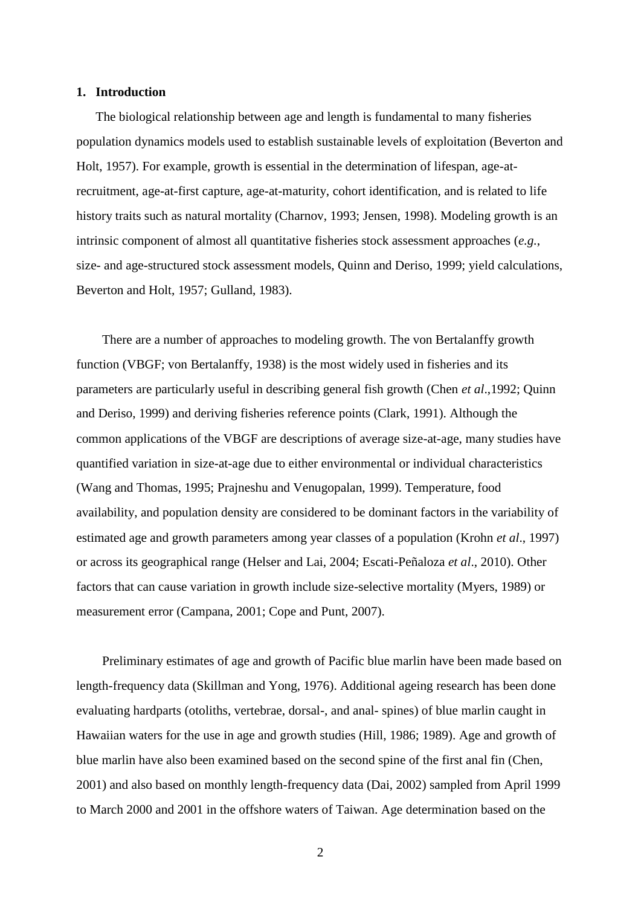#### **1. Introduction**

The biological relationship between age and length is fundamental to many fisheries population dynamics models used to establish sustainable levels of exploitation (Beverton and Holt, 1957). For example, growth is essential in the determination of lifespan, age-atrecruitment, age-at-first capture, age-at-maturity, cohort identification, and is related to life history traits such as natural mortality (Charnov, 1993; Jensen, 1998). Modeling growth is an intrinsic component of almost all quantitative fisheries stock assessment approaches (*e.g.*, size- and age-structured stock assessment models, Quinn and Deriso, 1999; yield calculations, Beverton and Holt, 1957; Gulland, 1983).

There are a number of approaches to modeling growth. The von Bertalanffy growth function (VBGF; von Bertalanffy, 1938) is the most widely used in fisheries and its parameters are particularly useful in describing general fish growth (Chen *et al*.,1992; Quinn and Deriso, 1999) and deriving fisheries reference points (Clark, 1991). Although the common applications of the VBGF are descriptions of average size-at-age, many studies have quantified variation in size-at-age due to either environmental or individual characteristics (Wang and Thomas, 1995; Prajneshu and Venugopalan, 1999). Temperature, food availability, and population density are considered to be dominant factors in the variability of estimated age and growth parameters among year classes of a population (Krohn *et al*., 1997) or across its geographical range (Helser and Lai, 2004; Escati-Peñaloza *et al*., 2010). Other factors that can cause variation in growth include size-selective mortality (Myers, 1989) or measurement error (Campana, 2001; Cope and Punt, 2007).

Preliminary estimates of age and growth of Pacific blue marlin have been made based on length-frequency data (Skillman and Yong, 1976). Additional ageing research has been done evaluating hardparts (otoliths, vertebrae, dorsal-, and anal- spines) of blue marlin caught in Hawaiian waters for the use in age and growth studies (Hill, 1986; 1989). Age and growth of blue marlin have also been examined based on the second spine of the first anal fin (Chen, 2001) and also based on monthly length-frequency data (Dai, 2002) sampled from April 1999 to March 2000 and 2001 in the offshore waters of Taiwan. Age determination based on the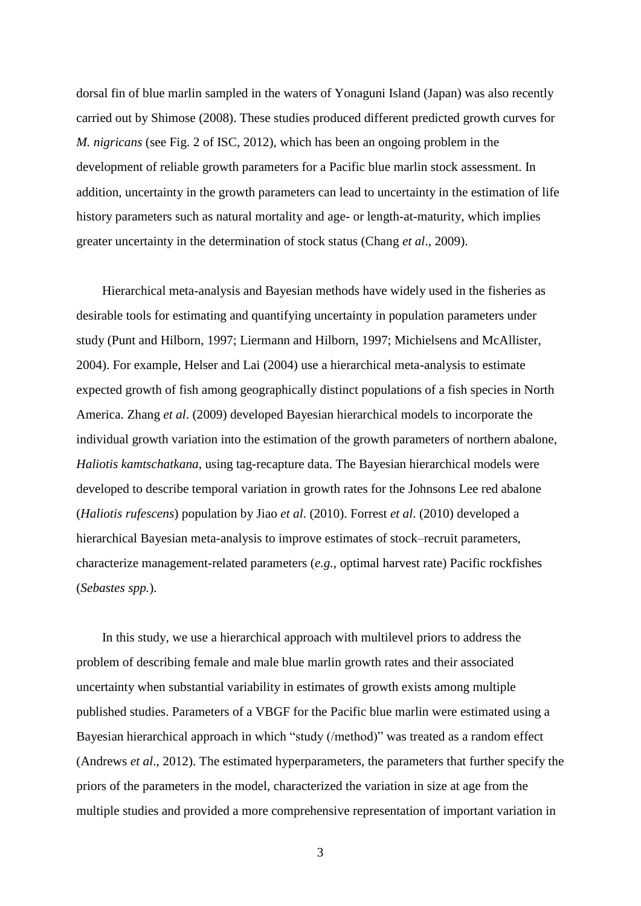dorsal fin of blue marlin sampled in the waters of Yonaguni Island (Japan) was also recently carried out by Shimose (2008). These studies produced different predicted growth curves for *M. nigricans* (see Fig. 2 of ISC, 2012), which has been an ongoing problem in the development of reliable growth parameters for a Pacific blue marlin stock assessment. In addition, uncertainty in the growth parameters can lead to uncertainty in the estimation of life history parameters such as natural mortality and age- or length-at-maturity, which implies greater uncertainty in the determination of stock status (Chang *et al*., 2009).

Hierarchical meta-analysis and Bayesian methods have widely used in the fisheries as desirable tools for estimating and quantifying uncertainty in population parameters under study (Punt and Hilborn, 1997; Liermann and Hilborn, 1997; Michielsens and McAllister, 2004). For example, Helser and Lai (2004) use a hierarchical meta-analysis to estimate expected growth of fish among geographically distinct populations of a fish species in North America. Zhang *et al*. (2009) developed Bayesian hierarchical models to incorporate the individual growth variation into the estimation of the growth parameters of northern abalone, *Haliotis kamtschatkana*, using tag-recapture data. The Bayesian hierarchical models were developed to describe temporal variation in growth rates for the Johnsons Lee red abalone (*Haliotis rufescens*) population by Jiao *et al*. (2010). Forrest *et al*. (2010) developed a hierarchical Bayesian meta-analysis to improve estimates of stock–recruit parameters, characterize management-related parameters (*e.g.*, optimal harvest rate) Pacific rockfishes (*Sebastes spp.*).

In this study, we use a hierarchical approach with multilevel priors to address the problem of describing female and male blue marlin growth rates and their associated uncertainty when substantial variability in estimates of growth exists among multiple published studies. Parameters of a VBGF for the Pacific blue marlin were estimated using a Bayesian hierarchical approach in which "study (/method)" was treated as a random effect (Andrews *et al*., 2012). The estimated hyperparameters, the parameters that further specify the priors of the parameters in the model, characterized the variation in size at age from the multiple studies and provided a more comprehensive representation of important variation in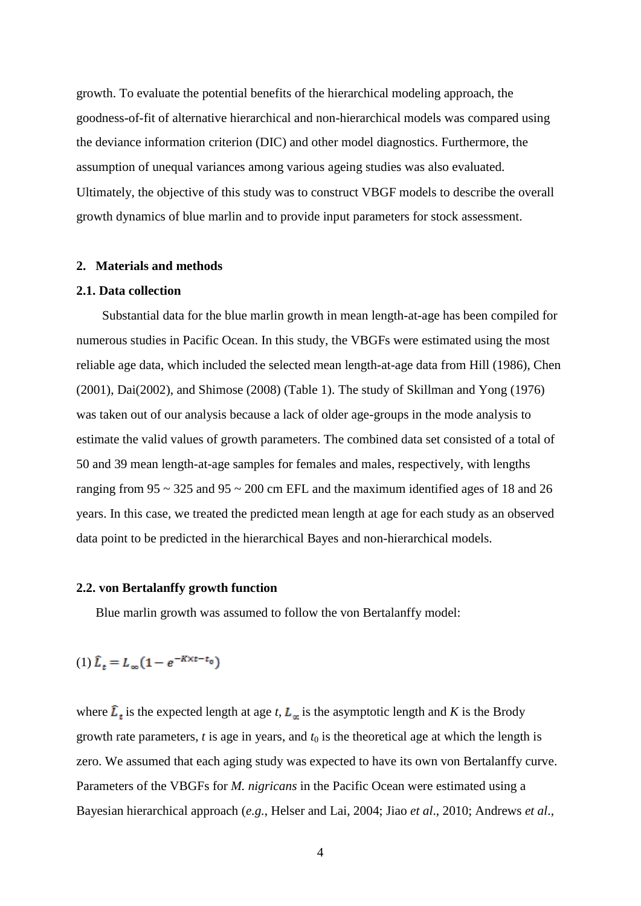growth. To evaluate the potential benefits of the hierarchical modeling approach, the goodness-of-fit of alternative hierarchical and non-hierarchical models was compared using the deviance information criterion (DIC) and other model diagnostics. Furthermore, the assumption of unequal variances among various ageing studies was also evaluated. Ultimately, the objective of this study was to construct VBGF models to describe the overall growth dynamics of blue marlin and to provide input parameters for stock assessment.

#### **2. Materials and methods**

#### **2.1. Data collection**

Substantial data for the blue marlin growth in mean length-at-age has been compiled for numerous studies in Pacific Ocean. In this study, the VBGFs were estimated using the most reliable age data, which included the selected mean length-at-age data from Hill (1986), Chen (2001), Dai(2002), and Shimose (2008) (Table 1). The study of Skillman and Yong (1976) was taken out of our analysis because a lack of older age-groups in the mode analysis to estimate the valid values of growth parameters. The combined data set consisted of a total of 50 and 39 mean length-at-age samples for females and males, respectively, with lengths ranging from  $95 \sim 325$  and  $95 \sim 200$  cm EFL and the maximum identified ages of 18 and 26 years. In this case, we treated the predicted mean length at age for each study as an observed data point to be predicted in the hierarchical Bayes and non-hierarchical models.

#### **2.2. von Bertalanffy growth function**

Blue marlin growth was assumed to follow the von Bertalanffy model:

$$
(1) \hat{L}_t = L_\infty (1 - e^{-K \times t - t_0})
$$

where  $\hat{L}_t$  is the expected length at age *t*,  $L_m$  is the asymptotic length and *K* is the Brody growth rate parameters,  $t$  is age in years, and  $t_0$  is the theoretical age at which the length is zero. We assumed that each aging study was expected to have its own von Bertalanffy curve. Parameters of the VBGFs for *M. nigricans* in the Pacific Ocean were estimated using a Bayesian hierarchical approach (*e.g.*, Helser and Lai, 2004; Jiao *et al*., 2010; Andrews *et al*.,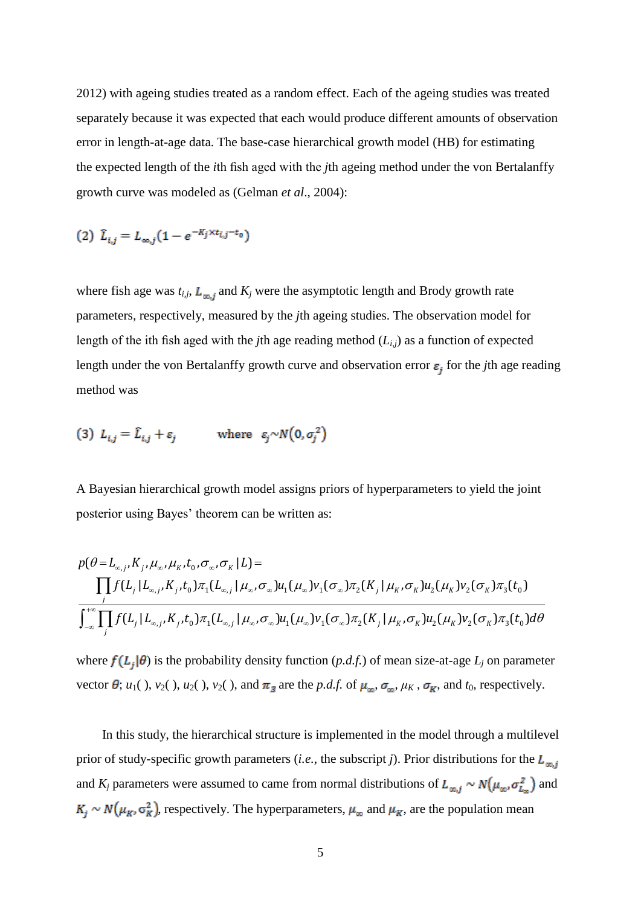2012) with ageing studies treated as a random effect. Each of the ageing studies was treated separately because it was expected that each would produce different amounts of observation error in length-at-age data. The base-case hierarchical growth model (HB) for estimating the expected length of the *i*th fish aged with the *j*th ageing method under the von Bertalanffy growth curve was modeled as (Gelman *et al*., 2004):

(2) 
$$
\hat{L}_{i,j} = L_{\infty,j} (1 - e^{-K_j \times t_{i,j} - t_0})
$$

where fish age was  $t_{i,j}$ ,  $L_{\infty,j}$  and  $K_j$  were the asymptotic length and Brody growth rate parameters, respectively, measured by the *j*th ageing studies. The observation model for length of the ith fish aged with the *j*th age reading method (*Li,j*) as a function of expected length under the von Bertalanffy growth curve and observation error  $\varepsilon_i$  for the *j*th age reading method was

(3) 
$$
L_{i,j} = \hat{L}_{i,j} + \varepsilon_j
$$
 where  $\varepsilon_j \sim N(0, \sigma_j^2)$ 

A Bayesian hierarchical growth model assigns priors of hyperparameters to yield the joint

posterior using Bayes' theorem can be written as:  
\n
$$
p(\theta = L_{\infty,j}, K_j, \mu_{\infty}, \mu_K, t_0, \sigma_{\infty}, \sigma_K | L) =
$$
\n
$$
\prod_j f(L_j | L_{\infty,j}, K_j, t_0) \pi_1(L_{\infty,j} | \mu_{\infty}, \sigma_{\infty}) u_1(\mu_{\infty}) v_1(\sigma_{\infty}) \pi_2(K_j | \mu_K, \sigma_K) u_2(\mu_K) v_2(\sigma_K) \pi_3(t_0)
$$
\n
$$
\int_{-\infty}^{+\infty} \prod_j f(L_j | L_{\infty,j}, K_j, t_0) \pi_1(L_{\infty,j} | \mu_{\infty}, \sigma_{\infty}) u_1(\mu_{\infty}) v_1(\sigma_{\infty}) \pi_2(K_j | \mu_K, \sigma_K) u_2(\mu_K) v_2(\sigma_K) \pi_3(t_0) d\theta
$$

where  $f(L_i|\theta)$  is the probability density function  $(p.d.f.)$  of mean size-at-age  $L_j$  on parameter vector  $\theta$ ; *u*<sub>1</sub>( ), *v*<sub>2</sub>( ), *v*<sub>2</sub>( ), and  $\pi$ <sub>3</sub> are the *p.d.f.* of  $\mu_{\infty}$ ,  $\sigma_{\infty}$ ,  $\mu_K$ ,  $\sigma_K$ , and *t*<sub>0</sub>, respectively.

In this study, the hierarchical structure is implemented in the model through a multilevel prior of study-specific growth parameters (*i.e.*, the subscript *j*). Prior distributions for the  $L_{m,i}$ and  $K_j$  parameters were assumed to came from normal distributions of  $L_{\infty,j} \sim N(\mu_{\infty}, \sigma_{L_{\infty}}^2)$  and  $K_i \sim N(\mu_K, \sigma_K^2)$ , respectively. The hyperparameters,  $\mu_\infty$  and  $\mu_K$ , are the population mean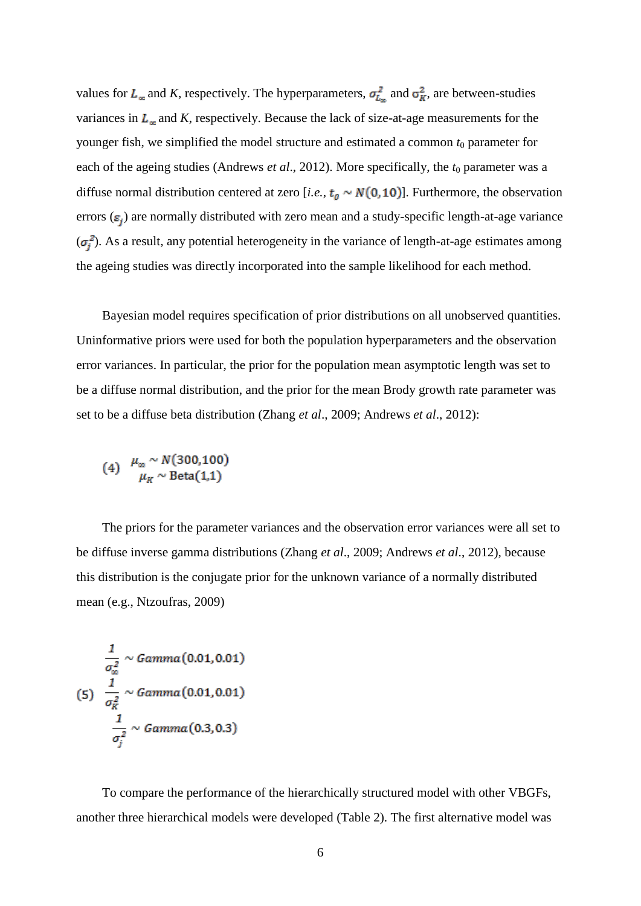values for  $L_{\infty}$  and *K*, respectively. The hyperparameters,  $\sigma_{L_{\infty}}^2$  and  $\sigma_K^2$ , are between-studies variances in  $L_{\infty}$  and *K*, respectively. Because the lack of size-at-age measurements for the younger fish, we simplified the model structure and estimated a common  $t_0$  parameter for each of the ageing studies (Andrews *et al.*, 2012). More specifically, the  $t_0$  parameter was a diffuse normal distribution centered at zero [*i.e.*,  $t_0 \sim N(0, 10)$ ]. Furthermore, the observation errors ( $\varepsilon_i$ ) are normally distributed with zero mean and a study-specific length-at-age variance  $(\sigma_i^2)$ . As a result, any potential heterogeneity in the variance of length-at-age estimates among the ageing studies was directly incorporated into the sample likelihood for each method.

Bayesian model requires specification of prior distributions on all unobserved quantities. Uninformative priors were used for both the population hyperparameters and the observation error variances. In particular, the prior for the population mean asymptotic length was set to be a diffuse normal distribution, and the prior for the mean Brody growth rate parameter was set to be a diffuse beta distribution (Zhang *et al*., 2009; Andrews *et al*., 2012):

$$
(4) \quad \mu_{\infty} \sim N(300,100) \mu_{K} \sim \text{Beta}(1,1)
$$

The priors for the parameter variances and the observation error variances were all set to be diffuse inverse gamma distributions (Zhang *et al*., 2009; Andrews *et al*., 2012), because this distribution is the conjugate prior for the unknown variance of a normally distributed mean (e.g., Ntzoufras, 2009)

$$
\frac{1}{\sigma_{\infty}^2} \sim Gamma(0.01, 0.01)
$$
\n
$$
(5) \frac{1}{\sigma_K^2} \sim Gamma(0.01, 0.01)
$$
\n
$$
\frac{1}{\sigma_j^2} \sim Gamma(0.3, 0.3)
$$

To compare the performance of the hierarchically structured model with other VBGFs, another three hierarchical models were developed (Table 2). The first alternative model was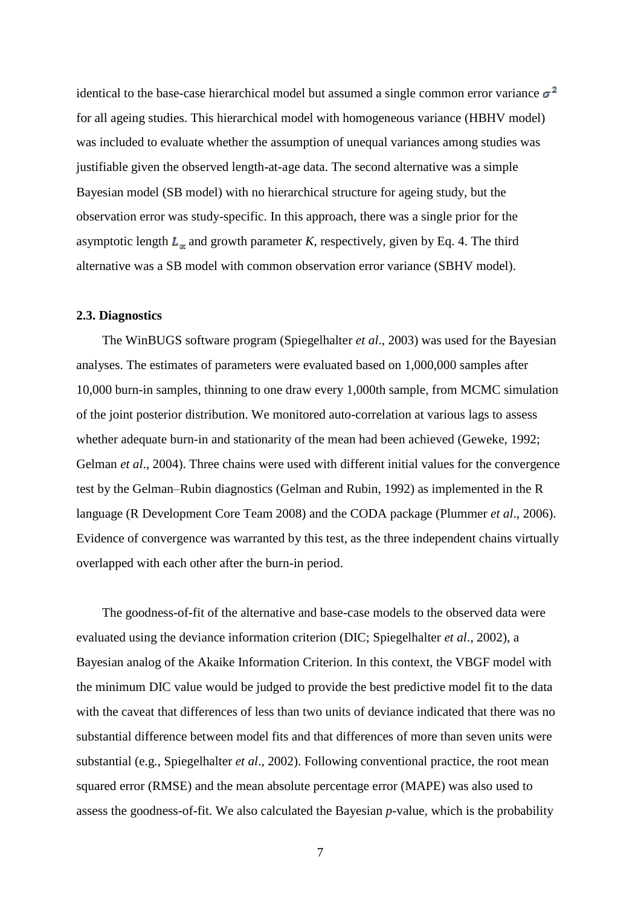identical to the base-case hierarchical model but assumed a single common error variance  $\sigma^2$ for all ageing studies. This hierarchical model with homogeneous variance (HBHV model) was included to evaluate whether the assumption of unequal variances among studies was justifiable given the observed length-at-age data. The second alternative was a simple Bayesian model (SB model) with no hierarchical structure for ageing study, but the observation error was study-specific. In this approach, there was a single prior for the asymptotic length  $L_{\infty}$  and growth parameter *K*, respectively, given by Eq. 4. The third alternative was a SB model with common observation error variance (SBHV model).

#### **2.3. Diagnostics**

The WinBUGS software program (Spiegelhalter *et al*., 2003) was used for the Bayesian analyses. The estimates of parameters were evaluated based on 1,000,000 samples after 10,000 burn-in samples, thinning to one draw every 1,000th sample, from MCMC simulation of the joint posterior distribution. We monitored auto-correlation at various lags to assess whether adequate burn-in and stationarity of the mean had been achieved (Geweke, 1992; Gelman *et al*., 2004). Three chains were used with different initial values for the convergence test by the Gelman–Rubin diagnostics (Gelman and Rubin, 1992) as implemented in the R language (R Development Core Team 2008) and the CODA package (Plummer *et al*., 2006). Evidence of convergence was warranted by this test, as the three independent chains virtually overlapped with each other after the burn-in period.

The goodness-of-fit of the alternative and base-case models to the observed data were evaluated using the deviance information criterion (DIC; Spiegelhalter *et al*., 2002), a Bayesian analog of the Akaike Information Criterion. In this context, the VBGF model with the minimum DIC value would be judged to provide the best predictive model fit to the data with the caveat that differences of less than two units of deviance indicated that there was no substantial difference between model fits and that differences of more than seven units were substantial (e.g., Spiegelhalter *et al*., 2002). Following conventional practice, the root mean squared error (RMSE) and the mean absolute percentage error (MAPE) was also used to assess the goodness-of-fit. We also calculated the Bayesian *p*-value, which is the probability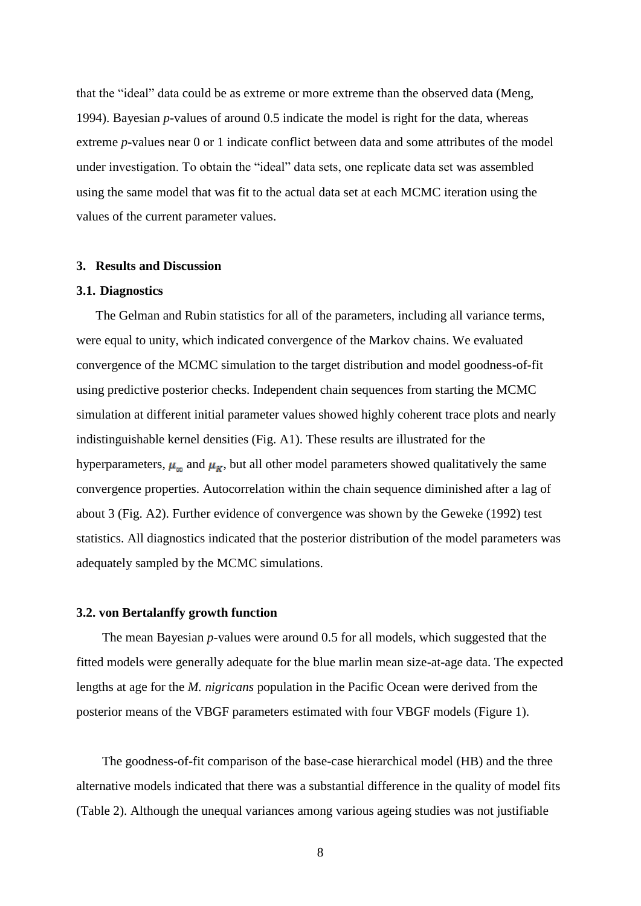that the "ideal" data could be as extreme or more extreme than the observed data (Meng, 1994). Bayesian *p*-values of around 0.5 indicate the model is right for the data, whereas extreme *p*-values near 0 or 1 indicate conflict between data and some attributes of the model under investigation. To obtain the "ideal" data sets, one replicate data set was assembled using the same model that was fit to the actual data set at each MCMC iteration using the values of the current parameter values.

#### **3. Results and Discussion**

#### **3.1. Diagnostics**

The Gelman and Rubin statistics for all of the parameters, including all variance terms, were equal to unity, which indicated convergence of the Markov chains. We evaluated convergence of the MCMC simulation to the target distribution and model goodness-of-fit using predictive posterior checks. Independent chain sequences from starting the MCMC simulation at different initial parameter values showed highly coherent trace plots and nearly indistinguishable kernel densities (Fig. A1). These results are illustrated for the hyperparameters,  $\mu_{\infty}$  and  $\mu_{K}$ , but all other model parameters showed qualitatively the same convergence properties. Autocorrelation within the chain sequence diminished after a lag of about 3 (Fig. A2). Further evidence of convergence was shown by the Geweke (1992) test statistics. All diagnostics indicated that the posterior distribution of the model parameters was adequately sampled by the MCMC simulations.

#### **3.2. von Bertalanffy growth function**

The mean Bayesian *p*-values were around 0.5 for all models, which suggested that the fitted models were generally adequate for the blue marlin mean size-at-age data. The expected lengths at age for the *M. nigricans* population in the Pacific Ocean were derived from the posterior means of the VBGF parameters estimated with four VBGF models (Figure 1).

The goodness-of-fit comparison of the base-case hierarchical model (HB) and the three alternative models indicated that there was a substantial difference in the quality of model fits (Table 2). Although the unequal variances among various ageing studies was not justifiable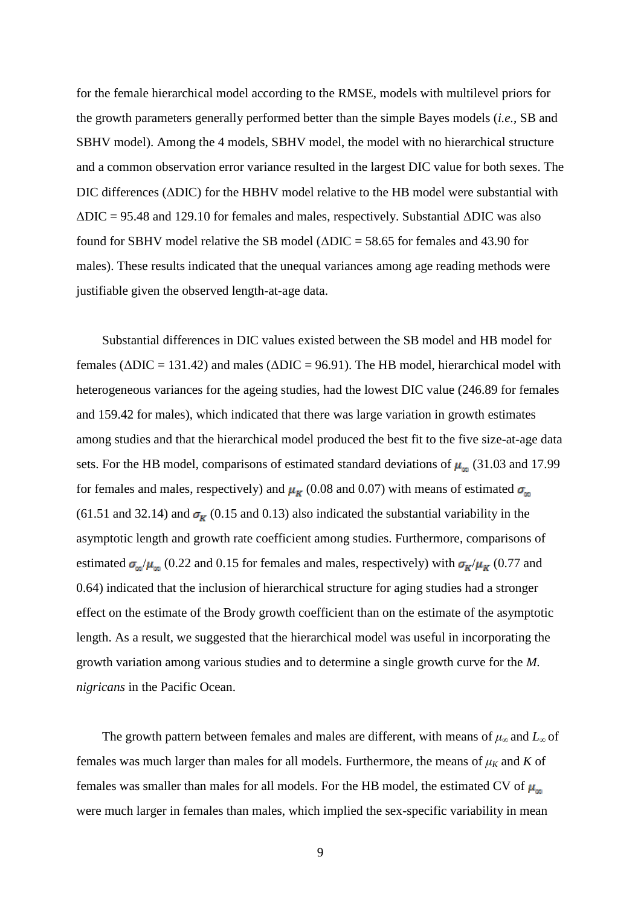for the female hierarchical model according to the RMSE, models with multilevel priors for the growth parameters generally performed better than the simple Bayes models (*i.e.*, SB and SBHV model). Among the 4 models, SBHV model, the model with no hierarchical structure and a common observation error variance resulted in the largest DIC value for both sexes. The DIC differences (ΔDIC) for the HBHV model relative to the HB model were substantial with  $\Delta$ DIC = 95.48 and 129.10 for females and males, respectively. Substantial  $\Delta$ DIC was also found for SBHV model relative the SB model ( $\triangle DIC = 58.65$  for females and 43.90 for males). These results indicated that the unequal variances among age reading methods were justifiable given the observed length-at-age data.

Substantial differences in DIC values existed between the SB model and HB model for females (ΔDIC = 131.42) and males (ΔDIC = 96.91). The HB model, hierarchical model with heterogeneous variances for the ageing studies, had the lowest DIC value (246.89 for females and 159.42 for males), which indicated that there was large variation in growth estimates among studies and that the hierarchical model produced the best fit to the five size-at-age data sets. For the HB model, comparisons of estimated standard deviations of  $\mu_{\infty}$  (31.03 and 17.99 for females and males, respectively) and  $\mu_K$  (0.08 and 0.07) with means of estimated  $\sigma_{\infty}$ (61.51 and 32.14) and  $\sigma_{\bf k}$  (0.15 and 0.13) also indicated the substantial variability in the asymptotic length and growth rate coefficient among studies. Furthermore, comparisons of estimated  $\sigma_{\omega}/\mu_{\omega}$  (0.22 and 0.15 for females and males, respectively) with  $\sigma_{K}/\mu_{K}$  (0.77 and 0.64) indicated that the inclusion of hierarchical structure for aging studies had a stronger effect on the estimate of the Brody growth coefficient than on the estimate of the asymptotic length. As a result, we suggested that the hierarchical model was useful in incorporating the growth variation among various studies and to determine a single growth curve for the *M. nigricans* in the Pacific Ocean.

The growth pattern between females and males are different, with means of *μ*<sup>∞</sup> and *L*∞ of females was much larger than males for all models. Furthermore, the means of  $\mu_K$  and  $K$  of females was smaller than males for all models. For the HB model, the estimated CV of  $\mu_{\infty}$ were much larger in females than males, which implied the sex-specific variability in mean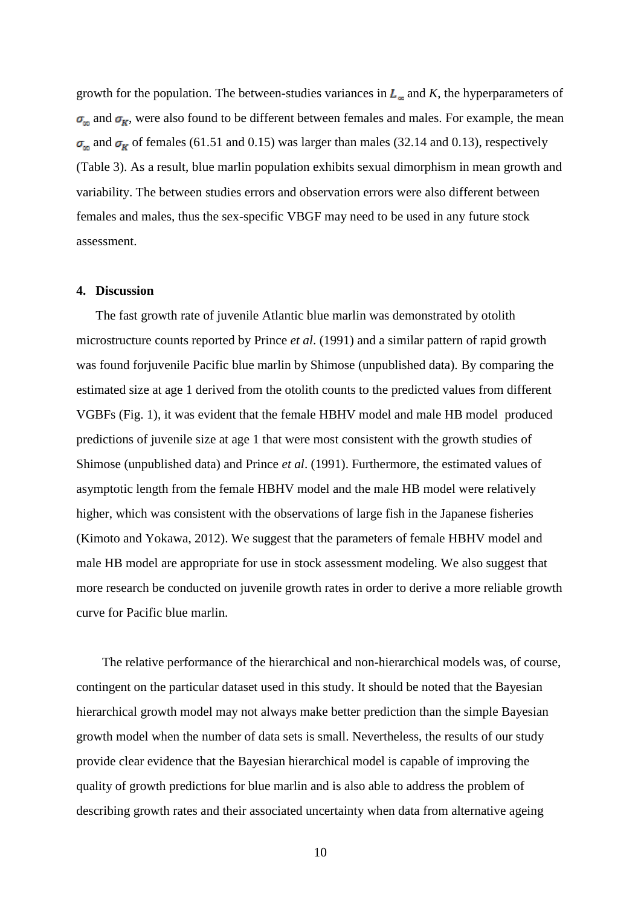growth for the population. The between-studies variances in  $L_{\infty}$  and K, the hyperparameters of  $\sigma_{\omega}$  and  $\sigma_{K}$ , were also found to be different between females and males. For example, the mean  $\sigma_{\text{co}}$  and  $\sigma_{\text{K}}$  of females (61.51 and 0.15) was larger than males (32.14 and 0.13), respectively (Table 3). As a result, blue marlin population exhibits sexual dimorphism in mean growth and variability. The between studies errors and observation errors were also different between females and males, thus the sex-specific VBGF may need to be used in any future stock assessment.

### **4. Discussion**

The fast growth rate of juvenile Atlantic blue marlin was demonstrated by otolith microstructure counts reported by Prince *et al*. (1991) and a similar pattern of rapid growth was found forjuvenile Pacific blue marlin by Shimose (unpublished data). By comparing the estimated size at age 1 derived from the otolith counts to the predicted values from different VGBFs (Fig. 1), it was evident that the female HBHV model and male HB model produced predictions of juvenile size at age 1 that were most consistent with the growth studies of Shimose (unpublished data) and Prince *et al*. (1991). Furthermore, the estimated values of asymptotic length from the female HBHV model and the male HB model were relatively higher, which was consistent with the observations of large fish in the Japanese fisheries (Kimoto and Yokawa, 2012). We suggest that the parameters of female HBHV model and male HB model are appropriate for use in stock assessment modeling. We also suggest that more research be conducted on juvenile growth rates in order to derive a more reliable growth curve for Pacific blue marlin.

The relative performance of the hierarchical and non-hierarchical models was, of course, contingent on the particular dataset used in this study. It should be noted that the Bayesian hierarchical growth model may not always make better prediction than the simple Bayesian growth model when the number of data sets is small. Nevertheless, the results of our study provide clear evidence that the Bayesian hierarchical model is capable of improving the quality of growth predictions for blue marlin and is also able to address the problem of describing growth rates and their associated uncertainty when data from alternative ageing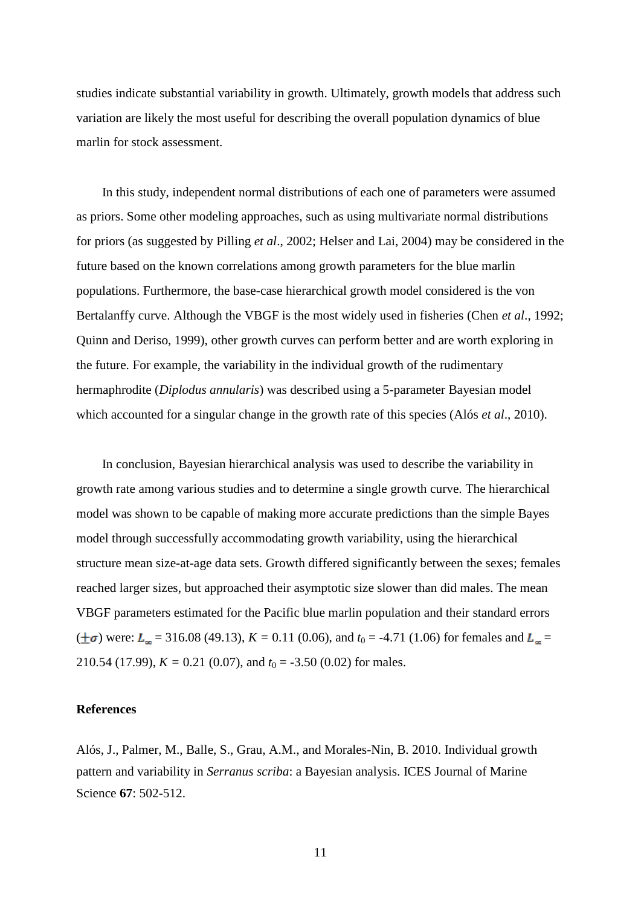studies indicate substantial variability in growth. Ultimately, growth models that address such variation are likely the most useful for describing the overall population dynamics of blue marlin for stock assessment.

In this study, independent normal distributions of each one of parameters were assumed as priors. Some other modeling approaches, such as using multivariate normal distributions for priors (as suggested by Pilling *et al*., 2002; Helser and Lai, 2004) may be considered in the future based on the known correlations among growth parameters for the blue marlin populations. Furthermore, the base-case hierarchical growth model considered is the von Bertalanffy curve. Although the VBGF is the most widely used in fisheries (Chen *et al*., 1992; Quinn and Deriso, 1999), other growth curves can perform better and are worth exploring in the future. For example, the variability in the individual growth of the rudimentary hermaphrodite (*Diplodus annularis*) was described using a 5-parameter Bayesian model which accounted for a singular change in the growth rate of this species (Alós *et al*., 2010).

In conclusion, Bayesian hierarchical analysis was used to describe the variability in growth rate among various studies and to determine a single growth curve. The hierarchical model was shown to be capable of making more accurate predictions than the simple Bayes model through successfully accommodating growth variability, using the hierarchical structure mean size-at-age data sets. Growth differed significantly between the sexes; females reached larger sizes, but approached their asymptotic size slower than did males. The mean VBGF parameters estimated for the Pacific blue marlin population and their standard errors  $(\pm \sigma)$  were:  $L_{\infty}$  = 316.08 (49.13),  $K = 0.11$  (0.06), and  $t_0 = -4.71$  (1.06) for females and  $L_{\infty}$  = 210.54 (17.99),  $K = 0.21$  (0.07), and  $t_0 = -3.50$  (0.02) for males.

### **References**

Alós, J., Palmer, M., Balle, S., Grau, A.M., and Morales-Nin, B. 2010. Individual growth pattern and variability in *Serranus scriba*: a Bayesian analysis. ICES Journal of Marine Science **67**: 502-512.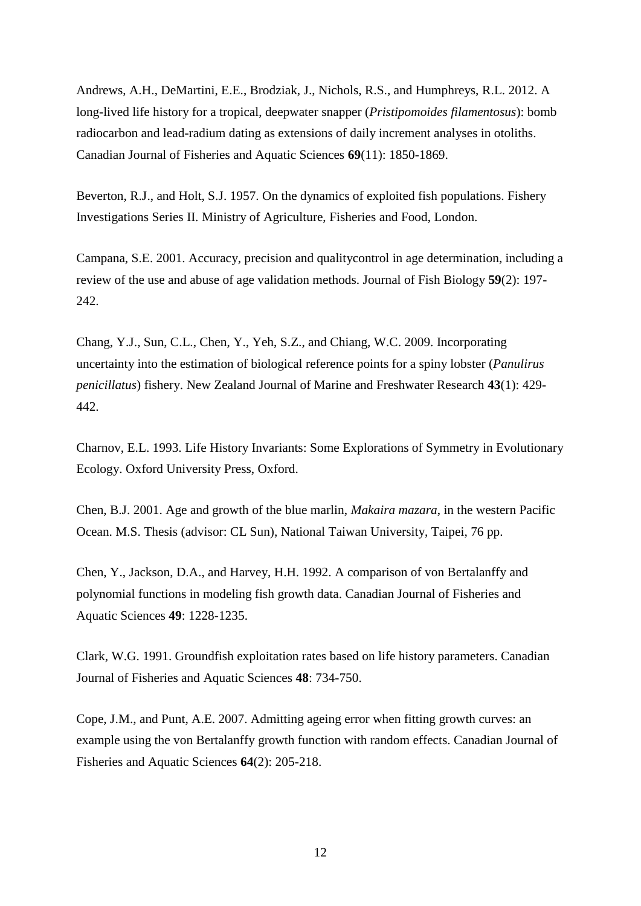Andrews, A.H., DeMartini, E.E., Brodziak, J., Nichols, R.S., and Humphreys, R.L. 2012. A long-lived life history for a tropical, deepwater snapper (*Pristipomoides filamentosus*): bomb radiocarbon and lead-radium dating as extensions of daily increment analyses in otoliths. Canadian Journal of Fisheries and Aquatic Sciences **69**(11): 1850-1869.

Beverton, R.J., and Holt, S.J. 1957. On the dynamics of exploited fish populations. Fishery Investigations Series II. Ministry of Agriculture, Fisheries and Food, London.

Campana, S.E. 2001. Accuracy, precision and qualitycontrol in age determination, including a review of the use and abuse of age validation methods. Journal of Fish Biology **59**(2): 197- 242.

Chang, Y.J., Sun, C.L., Chen, Y., Yeh, S.Z., and Chiang, W.C. 2009. Incorporating uncertainty into the estimation of biological reference points for a spiny lobster (*Panulirus penicillatus*) fishery. New Zealand Journal of Marine and Freshwater Research **43**(1): 429- 442.

Charnov, E.L. 1993. Life History Invariants: Some Explorations of Symmetry in Evolutionary Ecology. Oxford University Press, Oxford.

Chen, B.J. 2001. Age and growth of the blue marlin, *Makaira mazara*, in the western Pacific Ocean. M.S. Thesis (advisor: CL Sun), National Taiwan University, Taipei, 76 pp.

Chen, Y., Jackson, D.A., and Harvey, H.H. 1992. A comparison of von Bertalanffy and polynomial functions in modeling fish growth data. Canadian Journal of Fisheries and Aquatic Sciences **49**: 1228-1235.

Clark, W.G. 1991. Groundfish exploitation rates based on life history parameters. Canadian Journal of Fisheries and Aquatic Sciences **48**: 734-750.

Cope, J.M., and Punt, A.E. 2007. Admitting ageing error when fitting growth curves: an example using the von Bertalanffy growth function with random effects. Canadian Journal of Fisheries and Aquatic Sciences **64**(2): 205-218.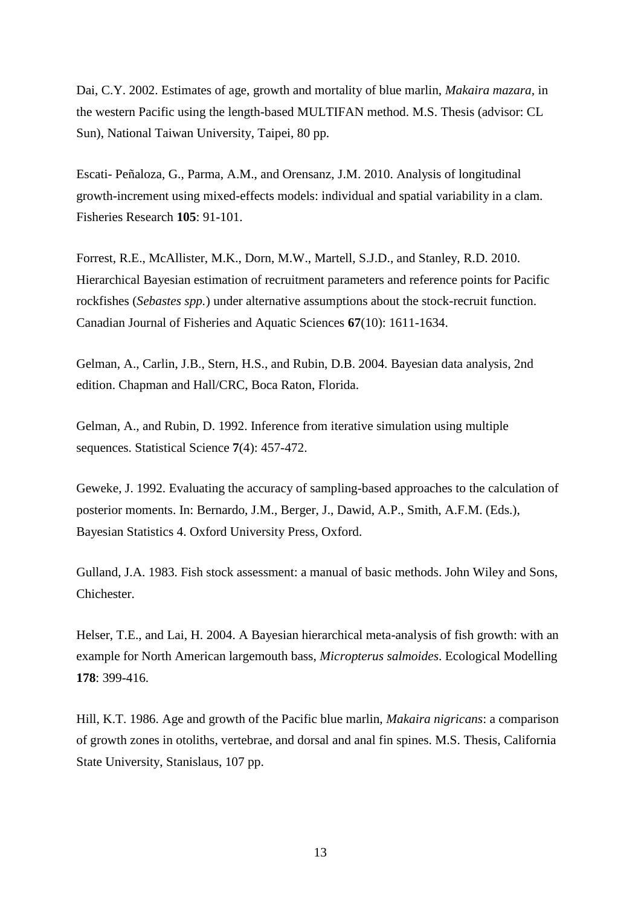Dai, C.Y. 2002. Estimates of age, growth and mortality of blue marlin, *Makaira mazara*, in the western Pacific using the length-based MULTIFAN method. M.S. Thesis (advisor: CL Sun), National Taiwan University, Taipei, 80 pp.

Escati- Peñaloza, G., Parma, A.M., and Orensanz, J.M. 2010. Analysis of longitudinal growth-increment using mixed-effects models: individual and spatial variability in a clam. Fisheries Research **105**: 91-101.

Forrest, R.E., McAllister, M.K., Dorn, M.W., Martell, S.J.D., and Stanley, R.D. 2010. Hierarchical Bayesian estimation of recruitment parameters and reference points for Pacific rockfishes (*Sebastes spp.*) under alternative assumptions about the stock-recruit function. Canadian Journal of Fisheries and Aquatic Sciences **67**(10): 1611-1634.

Gelman, A., Carlin, J.B., Stern, H.S., and Rubin, D.B. 2004. Bayesian data analysis, 2nd edition. Chapman and Hall/CRC, Boca Raton, Florida.

Gelman, A., and Rubin, D. 1992. Inference from iterative simulation using multiple sequences. Statistical Science **7**(4): 457-472.

Geweke, J. 1992. Evaluating the accuracy of sampling-based approaches to the calculation of posterior moments. In: Bernardo, J.M., Berger, J., Dawid, A.P., Smith, A.F.M. (Eds.), Bayesian Statistics 4. Oxford University Press, Oxford.

Gulland, J.A. 1983. Fish stock assessment: a manual of basic methods. John Wiley and Sons, Chichester.

Helser, T.E., and Lai, H. 2004. A Bayesian hierarchical meta-analysis of fish growth: with an example for North American largemouth bass, *Micropterus salmoides*. Ecological Modelling **178**: 399-416.

Hill, K.T. 1986. Age and growth of the Pacific blue marlin, *Makaira nigricans*: a comparison of growth zones in otoliths, vertebrae, and dorsal and anal fin spines. M.S. Thesis, California State University, Stanislaus, 107 pp.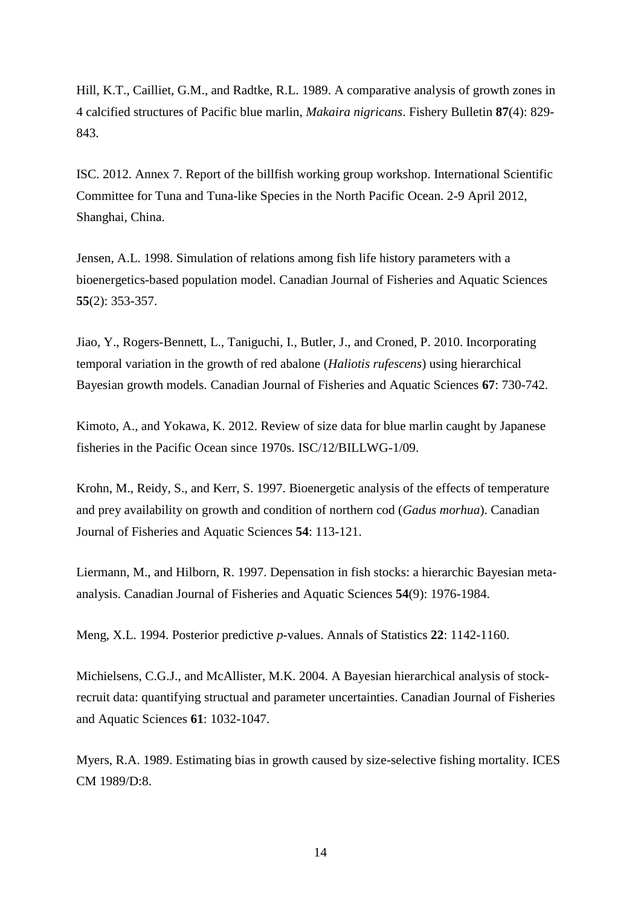Hill, K.T., Cailliet, G.M., and Radtke, R.L. 1989. A comparative analysis of growth zones in 4 calcified structures of Pacific blue marlin, *Makaira nigricans*. Fishery Bulletin **87**(4): 829- 843.

ISC. 2012. Annex 7. Report of the billfish working group workshop. International Scientific Committee for Tuna and Tuna-like Species in the North Pacific Ocean. 2-9 April 2012, Shanghai, China.

Jensen, A.L. 1998. Simulation of relations among fish life history parameters with a bioenergetics-based population model. Canadian Journal of Fisheries and Aquatic Sciences **55**(2): 353-357.

Jiao, Y., Rogers-Bennett, L., Taniguchi, I., Butler, J., and Croned, P. 2010. Incorporating temporal variation in the growth of red abalone (*Haliotis rufescens*) using hierarchical Bayesian growth models. Canadian Journal of Fisheries and Aquatic Sciences **67**: 730-742.

Kimoto, A., and Yokawa, K. 2012. Review of size data for blue marlin caught by Japanese fisheries in the Pacific Ocean since 1970s. ISC/12/BILLWG-1/09.

Krohn, M., Reidy, S., and Kerr, S. 1997. Bioenergetic analysis of the effects of temperature and prey availability on growth and condition of northern cod (*Gadus morhua*). Canadian Journal of Fisheries and Aquatic Sciences **54**: 113-121.

Liermann, M., and Hilborn, R. 1997. Depensation in fish stocks: a hierarchic Bayesian metaanalysis. Canadian Journal of Fisheries and Aquatic Sciences **54**(9): 1976-1984.

Meng, X.L. 1994. Posterior predictive *p*-values. Annals of Statistics **22**: 1142-1160.

Michielsens, C.G.J., and McAllister, M.K. 2004. A Bayesian hierarchical analysis of stockrecruit data: quantifying structual and parameter uncertainties. Canadian Journal of Fisheries and Aquatic Sciences **61**: 1032-1047.

Myers, R.A. 1989. Estimating bias in growth caused by size-selective fishing mortality. ICES CM 1989/D:8.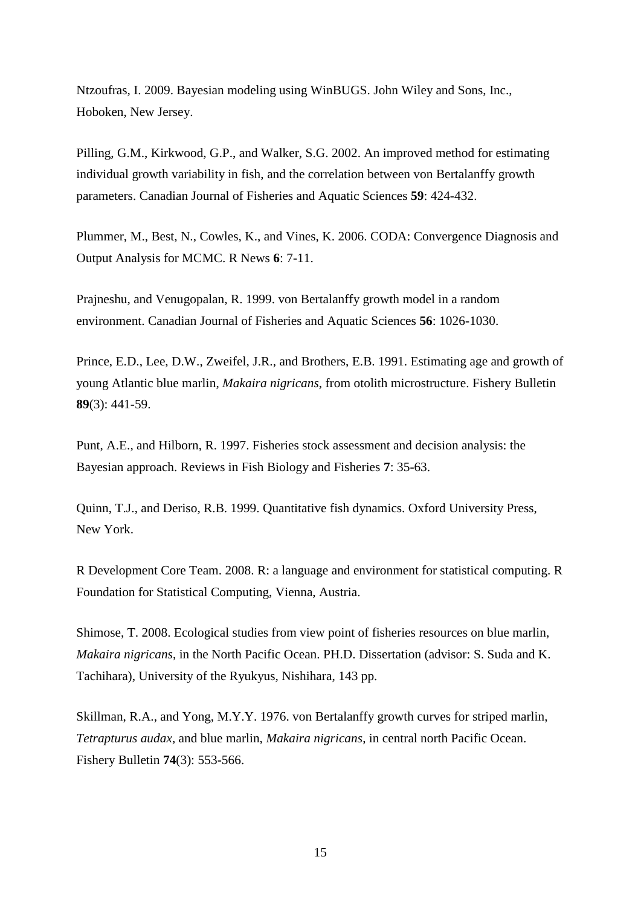Ntzoufras, I. 2009. Bayesian modeling using WinBUGS. John Wiley and Sons, Inc., Hoboken, New Jersey.

Pilling, G.M., Kirkwood, G.P., and Walker, S.G. 2002. An improved method for estimating individual growth variability in fish, and the correlation between von Bertalanffy growth parameters. Canadian Journal of Fisheries and Aquatic Sciences **59**: 424-432.

Plummer, M., Best, N., Cowles, K., and Vines, K. 2006. CODA: Convergence Diagnosis and Output Analysis for MCMC. R News **6**: 7-11.

Prajneshu, and Venugopalan, R. 1999. von Bertalanffy growth model in a random environment. Canadian Journal of Fisheries and Aquatic Sciences **56**: 1026-1030.

Prince, E.D., Lee, D.W., Zweifel, J.R., and Brothers, E.B. 1991. Estimating age and growth of young Atlantic blue marlin, *Makaira nigricans*, from otolith microstructure. Fishery Bulletin **89**(3): 441-59.

Punt, A.E., and Hilborn, R. 1997. Fisheries stock assessment and decision analysis: the Bayesian approach. Reviews in Fish Biology and Fisheries **7**: 35-63.

Quinn, T.J., and Deriso, R.B. 1999. Quantitative fish dynamics. Oxford University Press, New York.

R Development Core Team. 2008. R: a language and environment for statistical computing. R Foundation for Statistical Computing, Vienna, Austria.

Shimose, T. 2008. Ecological studies from view point of fisheries resources on blue marlin, *Makaira nigricans*, in the North Pacific Ocean. PH.D. Dissertation (advisor: S. Suda and K. Tachihara), University of the Ryukyus, Nishihara, 143 pp.

Skillman, R.A., and Yong, M.Y.Y. 1976. von Bertalanffy growth curves for striped marlin, *Tetrapturus audax*, and blue marlin, *Makaira nigricans*, in central north Pacific Ocean. Fishery Bulletin **74**(3): 553-566.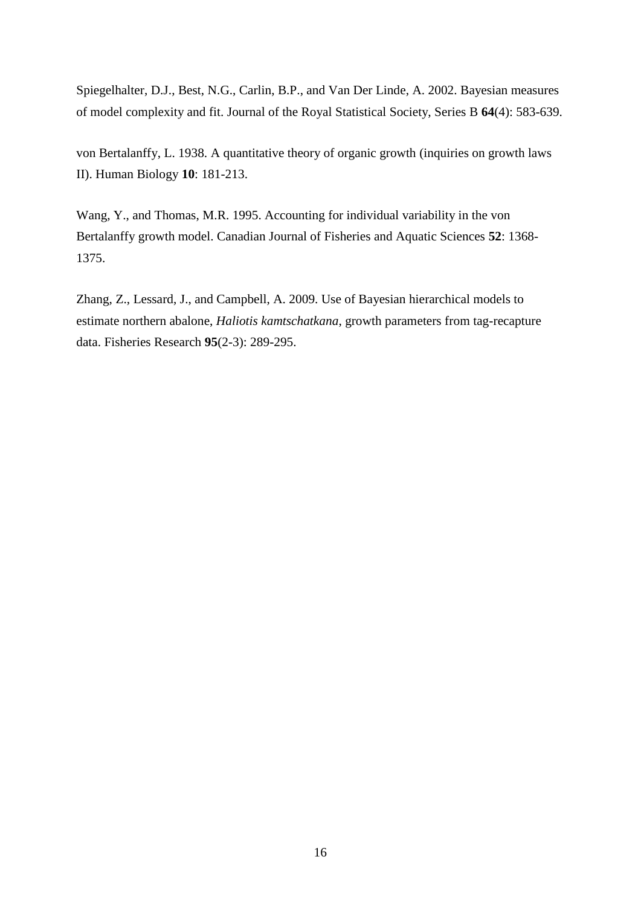Spiegelhalter, D.J., Best, N.G., Carlin, B.P., and Van Der Linde, A. 2002. Bayesian measures of model complexity and fit. Journal of the Royal Statistical Society, Series B **64**(4): 583-639.

von Bertalanffy, L. 1938. A quantitative theory of organic growth (inquiries on growth laws II). Human Biology **10**: 181-213.

Wang, Y., and Thomas, M.R. 1995. Accounting for individual variability in the von Bertalanffy growth model. Canadian Journal of Fisheries and Aquatic Sciences **52**: 1368- 1375.

Zhang, Z., Lessard, J., and Campbell, A. 2009. Use of Bayesian hierarchical models to estimate northern abalone, *Haliotis kamtschatkana*, growth parameters from tag-recapture data. Fisheries Research **95**(2-3): 289-295.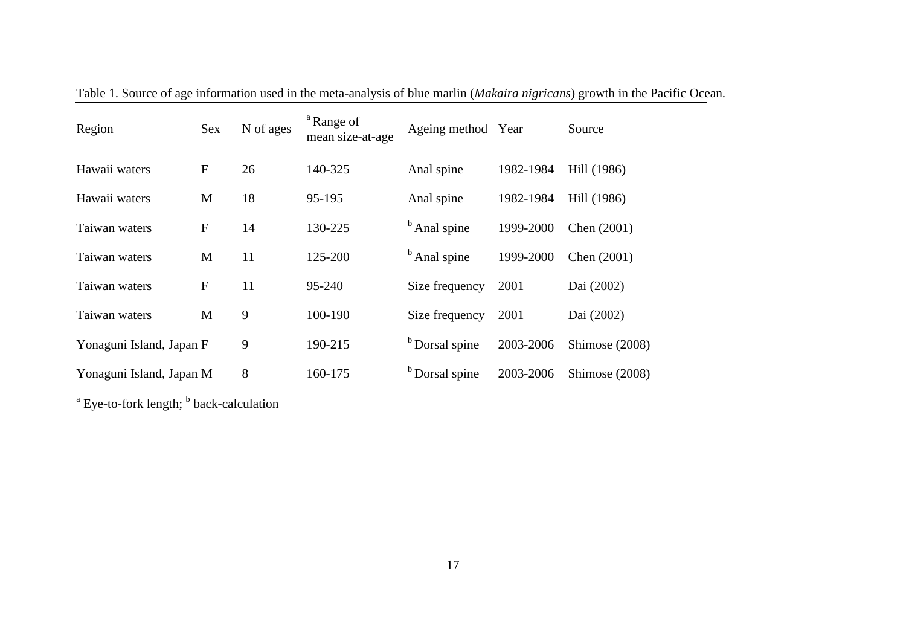| Region                   | <b>Sex</b>   | N of ages | <sup>a</sup> Range of<br>mean size-at-age | Ageing method Year        |           | Source         |  |
|--------------------------|--------------|-----------|-------------------------------------------|---------------------------|-----------|----------------|--|
| Hawaii waters            | ${\bf F}$    | 26        | 140-325                                   | Anal spine                | 1982-1984 | Hill (1986)    |  |
| Hawaii waters            | M            | 18        | 95-195                                    | Anal spine                | 1982-1984 | Hill (1986)    |  |
| Taiwan waters            | ${\bf F}$    | 14        | 130-225                                   | <sup>b</sup> Anal spine   | 1999-2000 | Chen (2001)    |  |
| Taiwan waters            | M            | 11        | 125-200                                   | <sup>b</sup> Anal spine   | 1999-2000 | Chen (2001)    |  |
| Taiwan waters            | $\mathbf{F}$ | 11        | 95-240                                    | Size frequency            | 2001      | Dai (2002)     |  |
| Taiwan waters            | M            | 9         | 100-190                                   | Size frequency            | 2001      | Dai (2002)     |  |
| Yonaguni Island, Japan F |              | 9         | 190-215                                   | <sup>b</sup> Dorsal spine | 2003-2006 | Shimose (2008) |  |
| Yonaguni Island, Japan M |              | 8         | 160-175                                   | <sup>b</sup> Dorsal spine | 2003-2006 | Shimose (2008) |  |

Table 1. Source of age information used in the meta-analysis of blue marlin (*Makaira nigricans*) growth in the Pacific Ocean.

<sup>a</sup> Eye-to-fork length; <sup>b</sup> back-calculation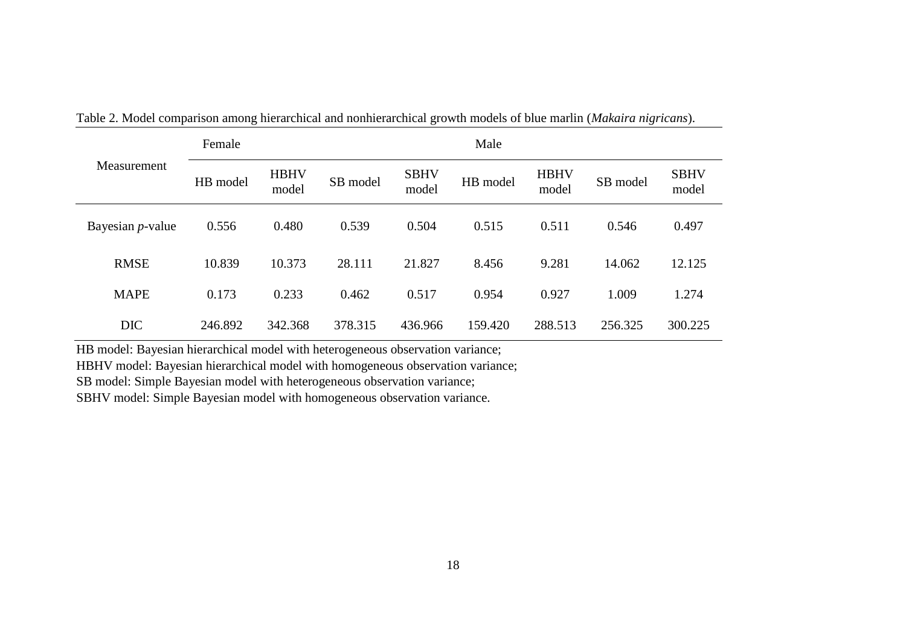|                     | Female   |                      | Male     |                      |          |                      |          |                      |  |  |  |  |  |  |
|---------------------|----------|----------------------|----------|----------------------|----------|----------------------|----------|----------------------|--|--|--|--|--|--|
| Measurement         | HB model | <b>HBHV</b><br>model | SB model | <b>SBHV</b><br>model | HB model | <b>HBHV</b><br>model | SB model | <b>SBHV</b><br>model |  |  |  |  |  |  |
| Bayesian $p$ -value | 0.556    | 0.480                | 0.539    | 0.504                | 0.515    | 0.511                | 0.546    | 0.497                |  |  |  |  |  |  |
| <b>RMSE</b>         | 10.839   | 10.373               | 28.111   | 21.827               | 8.456    | 9.281                | 14.062   | 12.125               |  |  |  |  |  |  |
| <b>MAPE</b>         | 0.173    | 0.233                | 0.462    | 0.517                | 0.954    | 0.927                | 1.009    | 1.274                |  |  |  |  |  |  |
| <b>DIC</b>          | 246.892  | 342.368              | 378.315  | 436.966              | 159.420  | 288.513              | 256.325  | 300.225              |  |  |  |  |  |  |

Table 2. Model comparison among hierarchical and nonhierarchical growth models of blue marlin (*Makaira nigricans*).

HB model: Bayesian hierarchical model with heterogeneous observation variance;

HBHV model: Bayesian hierarchical model with homogeneous observation variance;

SB model: Simple Bayesian model with heterogeneous observation variance;

SBHV model: Simple Bayesian model with homogeneous observation variance.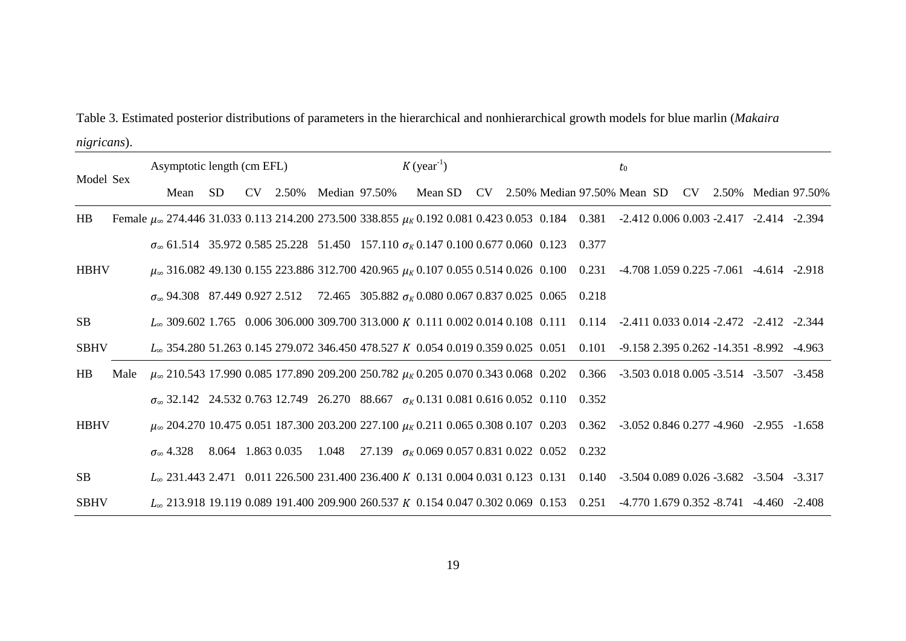| Table 3. Estimated posterior distributions of parameters in the hierarchical and nonhierarchical growth models for blue marlin (Makaira |  |
|-----------------------------------------------------------------------------------------------------------------------------------------|--|
| nigricans).                                                                                                                             |  |

|             |      | Asymptotic length (cm EFL)                                                                                                                               |     |  |                        |  | $K$ (year <sup>-1</sup> ) |  |                                                             |  |  |  |       | $t_{0}$ |  |  |  |                                                  |                                                       |
|-------------|------|----------------------------------------------------------------------------------------------------------------------------------------------------------|-----|--|------------------------|--|---------------------------|--|-------------------------------------------------------------|--|--|--|-------|---------|--|--|--|--------------------------------------------------|-------------------------------------------------------|
| Model Sex   |      | Mean                                                                                                                                                     | SD. |  | CV 2.50% Median 97.50% |  |                           |  | Mean SD                                                     |  |  |  |       |         |  |  |  |                                                  | CV 2.50% Median 97.50% Mean SD CV 2.50% Median 97.50% |
| HB          |      | Female $\mu_{\infty}$ 274.446 31.033 0.113 214.200 273.500 338.855 $\mu_{K}$ 0.192 0.081 0.423 0.053 0.184 0.381 -2.412 0.006 0.003 -2.417 -2.414 -2.394 |     |  |                        |  |                           |  |                                                             |  |  |  |       |         |  |  |  |                                                  |                                                       |
|             |      | $\sigma_{\infty}$ 61.514 35.972 0.585 25.228 51.450 157.110 $\sigma_{K}$ 0.147 0.100 0.677 0.060 0.123 0.377                                             |     |  |                        |  |                           |  |                                                             |  |  |  |       |         |  |  |  |                                                  |                                                       |
| <b>HBHV</b> |      | $\mu_{\infty}$ 316.082 49.130 0.155 223.886 312.700 420.965 $\mu_{K}$ 0.107 0.055 0.514 0.026 0.100 0.231 -4.708 1.059 0.225 -7.061 -4.614 -2.918        |     |  |                        |  |                           |  |                                                             |  |  |  |       |         |  |  |  |                                                  |                                                       |
|             |      | $\sigma_{\infty}$ 94.308 87.449 0.927 2.512 72.465 305.882 $\sigma_{K}$ 0.080 0.067 0.837 0.025 0.065                                                    |     |  |                        |  |                           |  |                                                             |  |  |  | 0.218 |         |  |  |  |                                                  |                                                       |
| <b>SB</b>   |      | L <sub>∞</sub> 309.602 1.765 0.006 306.000 309.700 313.000 K 0.111 0.002 0.014 0.108 0.111 0.114 -2.411 0.033 0.014 -2.472 -2.412 -2.344                 |     |  |                        |  |                           |  |                                                             |  |  |  |       |         |  |  |  |                                                  |                                                       |
| <b>SBHV</b> |      | L <sub>∞</sub> 354.280 51.263 0.145 279.072 346.450 478.527 K 0.054 0.019 0.359 0.025 0.051                                                              |     |  |                        |  |                           |  |                                                             |  |  |  | 0.101 |         |  |  |  | $-9.158$ 2.395 0.262 $-14.351$ $-8.992$ $-4.963$ |                                                       |
| <b>HB</b>   | Male | $\mu_{\infty}$ 210.543 17.990 0.085 177.890 209.200 250.782 $\mu_{K}$ 0.205 0.070 0.343 0.068 0.202 0.366 -3.503 0.018 0.005 -3.514 -3.507 -3.458        |     |  |                        |  |                           |  |                                                             |  |  |  |       |         |  |  |  |                                                  |                                                       |
|             |      | $\sigma_{\infty}$ 32.142 24.532 0.763 12.749 26.270 88.667 $\sigma_{K}$ 0.131 0.081 0.616 0.052 0.110 0.352                                              |     |  |                        |  |                           |  |                                                             |  |  |  |       |         |  |  |  |                                                  |                                                       |
| <b>HBHV</b> |      | $\mu_{\infty}$ 204.270 10.475 0.051 187.300 203.200 227.100 $\mu_{K}$ 0.211 0.065 0.308 0.107 0.203 0.362 -3.052 0.846 0.277 -4.960 -2.955 -1.658        |     |  |                        |  |                           |  |                                                             |  |  |  |       |         |  |  |  |                                                  |                                                       |
|             |      | $\sigma_{\infty}$ 4.328                                                                                                                                  |     |  | 8.064 1.863 0.035      |  |                           |  | 1.048 27.139 $\sigma_K$ 0.069 0.057 0.831 0.022 0.052 0.232 |  |  |  |       |         |  |  |  |                                                  |                                                       |
| <b>SB</b>   |      | L <sub>∞</sub> 231.443 2.471 0.011 226.500 231.400 236.400 K 0.131 0.004 0.031 0.123 0.131 0.140 -3.504 0.089 0.026 -3.682 -3.504 -3.317                 |     |  |                        |  |                           |  |                                                             |  |  |  |       |         |  |  |  |                                                  |                                                       |
| <b>SBHV</b> |      | L <sub>∞</sub> 213.918 19.119 0.089 191.400 209.900 260.537 K 0.154 0.047 0.302 0.069 0.153 0.251 -4.770 1.679 0.352 -8.741 -4.460 -2.408                |     |  |                        |  |                           |  |                                                             |  |  |  |       |         |  |  |  |                                                  |                                                       |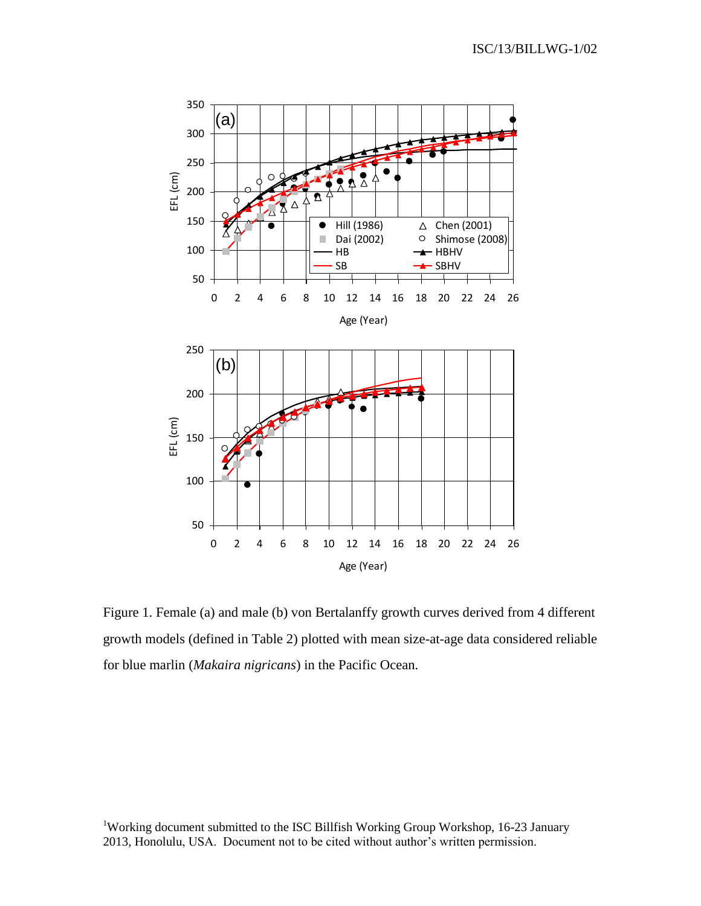

Figure 1. Female (a) and male (b) von Bertalanffy growth curves derived from 4 different growth models (defined in Table 2) plotted with mean size-at-age data considered reliable for blue marlin (*Makaira nigricans*) in the Pacific Ocean.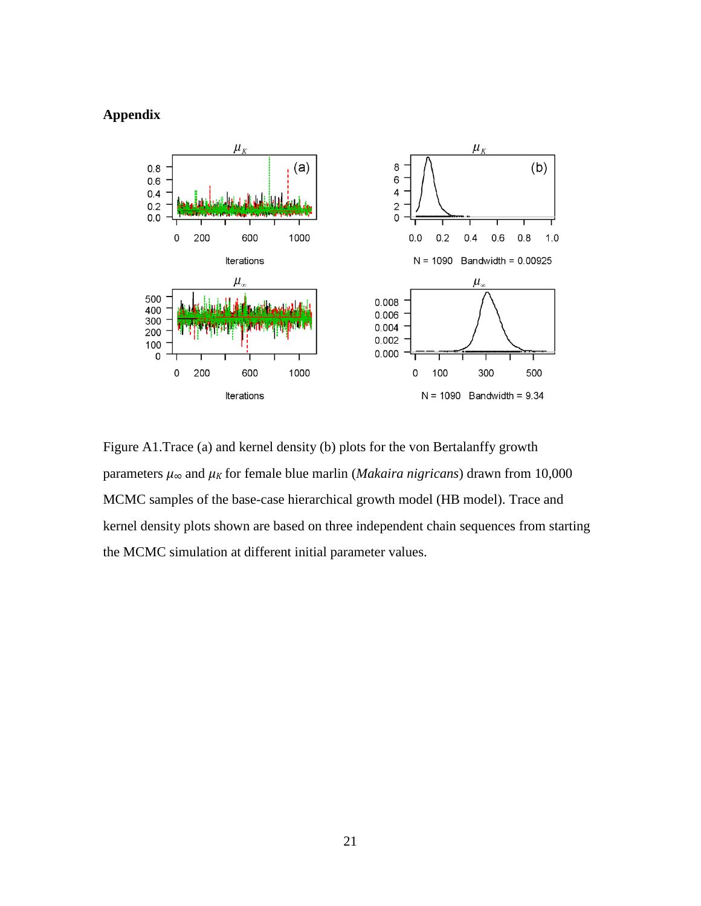## **Appendix**



Figure A1.Trace (a) and kernel density (b) plots for the von Bertalanffy growth parameters *μ<sup>∞</sup>* and *μ<sup>K</sup>* for female blue marlin (*Makaira nigricans*) drawn from 10,000 MCMC samples of the base-case hierarchical growth model (HB model). Trace and kernel density plots shown are based on three independent chain sequences from starting the MCMC simulation at different initial parameter values.